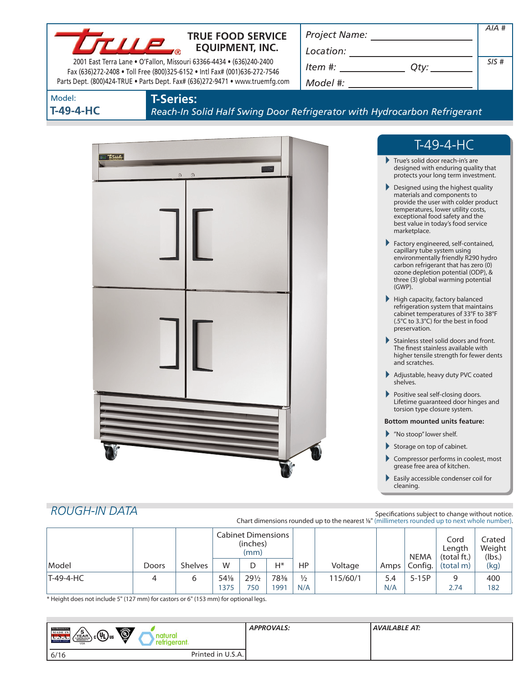|                     | <b>TRUE FOOD SERVICE</b><br>$L_{\rm T}$ lle<br><b>EQUIPMENT, INC.</b><br>2001 East Terra Lane . O'Fallon, Missouri 63366-4434 . (636)240-2400<br>Fax (636)272-2408 . Toll Free (800)325-6152 . Intl Fax# (001)636-272-7546<br>Parts Dept. (800)424-TRUE . Parts Dept. Fax# (636)272-9471 . www.truemfg.com | $\begin{array}{c}\n\text{Location:}\n\\ \hline\n\text{Item } \#: \begin{array}{c}\n\hline\n\end{array} \qquad \qquad \text{Qty:}\n\end{array}$                                                                                                                                                                                                                                                                                                                                                                                                                                                                                                                                                                                                                                                                                                                                                                                                                                                                                                                                                                                                            | AIA#<br>SIS# |
|---------------------|------------------------------------------------------------------------------------------------------------------------------------------------------------------------------------------------------------------------------------------------------------------------------------------------------------|-----------------------------------------------------------------------------------------------------------------------------------------------------------------------------------------------------------------------------------------------------------------------------------------------------------------------------------------------------------------------------------------------------------------------------------------------------------------------------------------------------------------------------------------------------------------------------------------------------------------------------------------------------------------------------------------------------------------------------------------------------------------------------------------------------------------------------------------------------------------------------------------------------------------------------------------------------------------------------------------------------------------------------------------------------------------------------------------------------------------------------------------------------------|--------------|
| Model:<br>T-49-4-HC | <b>T-Series:</b><br>Reach-In Solid Half Swing Door Refrigerator with Hydrocarbon Refrigerant                                                                                                                                                                                                               |                                                                                                                                                                                                                                                                                                                                                                                                                                                                                                                                                                                                                                                                                                                                                                                                                                                                                                                                                                                                                                                                                                                                                           |              |
|                     |                                                                                                                                                                                                                                                                                                            | $T-49-4-HC$                                                                                                                                                                                                                                                                                                                                                                                                                                                                                                                                                                                                                                                                                                                                                                                                                                                                                                                                                                                                                                                                                                                                               |              |
| T                   | $\odot$<br>$\Omega$                                                                                                                                                                                                                                                                                        | True's solid door reach-in's are<br>designed with enduring quality that<br>protects your long term investment.<br>Designed using the highest quality<br>materials and components to<br>provide the user with colder product<br>temperatures, lower utility costs,<br>exceptional food safety and the<br>best value in today's food service<br>marketplace.<br>Factory engineered, self-contained,<br>capillary tube system using<br>environmentally friendly R290 hydro<br>carbon refrigerant that has zero (0)<br>ozone depletion potential (ODP), &<br>three (3) global warming potential<br>(GWP).<br>$\blacktriangleright$ High capacity, factory balanced<br>refrigeration system that maintains<br>cabinet temperatures of 33°F to 38°F<br>(.5°C to 3.3°C) for the best in food<br>preservation.<br>Stainless steel solid doors and front.<br>The finest stainless available with<br>higher tensile strength for fewer dents<br>and scratches.<br>Adjustable, heavy duty PVC coated<br>shelves.<br>Positive seal self-closing doors.<br>Lifetime guaranteed door hinges and<br>torsion type closure system.<br><b>Bottom mounted units feature:</b> |              |
|                     |                                                                                                                                                                                                                                                                                                            | ▶ "No stoop" lower shelf.<br>Storage on top of cabinet.<br>Compressor performs in coolest, most<br>grease free area of kitchen.<br>Easily accessible condenser coil for                                                                                                                                                                                                                                                                                                                                                                                                                                                                                                                                                                                                                                                                                                                                                                                                                                                                                                                                                                                   |              |

|           |              |                | <b>Cabinet Dimensions</b><br>(inches)<br>(mm) |                 |      |               |          | <b>NEMA</b> | Cord<br>Length<br>(total ft.) | Crated<br>Weight<br>(lbs.) |      |
|-----------|--------------|----------------|-----------------------------------------------|-----------------|------|---------------|----------|-------------|-------------------------------|----------------------------|------|
| Model     | <b>Doors</b> | <b>Shelves</b> | W                                             |                 | Н*   | HP            | Voltage  |             | Amps   Config.                | (total m)                  | (kg) |
| T-49-4-HC |              | 6              | 541/8                                         | $29\frac{1}{2}$ | 78%  | $\frac{1}{2}$ | 115/60/1 | 5.4         | $5-15P$                       | q                          | 400  |
|           |              |                | 1375                                          | 750             | 1991 | N/A           |          | N/A         |                               | 2.74                       | 182  |

\* Height does not include 5" (127 mm) for castors or 6" (153 mm) for optional legs.

| <b>TRUE REFEREEMENT</b><br>Ó<br>$\sqrt{\frac{5}{2}}$<br>MADE IN<br><sub>) c</sub> (Սլ)տա<br>natura<br>SINCE 1945 | <b>APPROVALS:</b> | <b>AVAILABLE AT:</b> |
|------------------------------------------------------------------------------------------------------------------|-------------------|----------------------|
| erant.<br><b>USA</b>                                                                                             |                   |                      |
| Printed in U.S.A.<br>6/16                                                                                        |                   |                      |